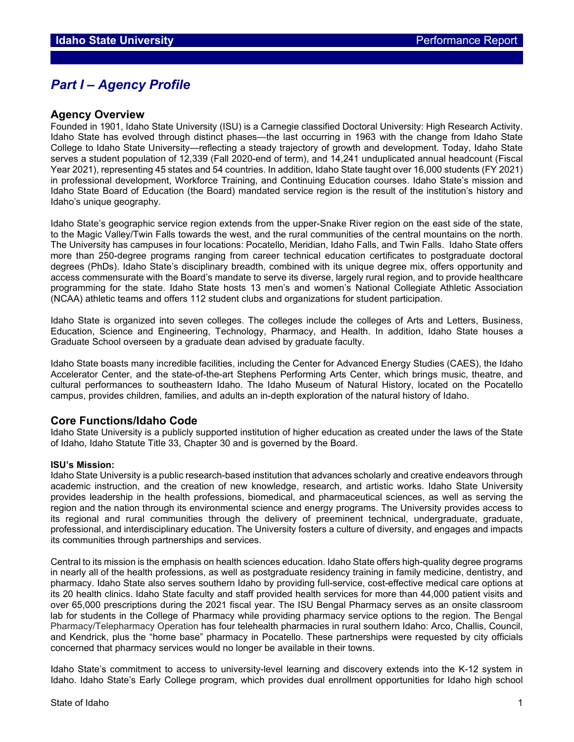# *Part I – Agency Profile*

## **Agency Overview**

Founded in 1901, Idaho State University (ISU) is a Carnegie classified Doctoral University: High Research Activity. Idaho State has evolved through distinct phases—the last occurring in 1963 with the change from Idaho State College to Idaho State University—reflecting a steady trajectory of growth and development. Today, Idaho State serves a student population of 12,339 (Fall 2020-end of term), and 14,241 unduplicated annual headcount (Fiscal Year 2021), representing 45 states and 54 countries. In addition, Idaho State taught over 16,000 students (FY 2021) in professional development, Workforce Training, and Continuing Education courses. Idaho State's mission and Idaho State Board of Education (the Board) mandated service region is the result of the institution's history and Idaho's unique geography.

Idaho State's geographic service region extends from the upper-Snake River region on the east side of the state, to the Magic Valley/Twin Falls towards the west, and the rural communities of the central mountains on the north. The University has campuses in four locations: Pocatello, Meridian, Idaho Falls, and Twin Falls. Idaho State offers more than 250-degree programs ranging from career technical education certificates to postgraduate doctoral degrees (PhDs). Idaho State's disciplinary breadth, combined with its unique degree mix, offers opportunity and access commensurate with the Board's mandate to serve its diverse, largely rural region, and to provide healthcare programming for the state. Idaho State hosts 13 men's and women's National Collegiate Athletic Association (NCAA) athletic teams and offers 112 student clubs and organizations for student participation.

Idaho State is organized into seven colleges. The colleges include the colleges of Arts and Letters, Business, Education, Science and Engineering, Technology, Pharmacy, and Health. In addition, Idaho State houses a Graduate School overseen by a graduate dean advised by graduate faculty.

Idaho State boasts many incredible facilities, including the Center for Advanced Energy Studies (CAES), the Idaho Accelerator Center, and the state-of-the-art Stephens Performing Arts Center, which brings music, theatre, and cultural performances to southeastern Idaho. The Idaho Museum of Natural History, located on the Pocatello campus, provides children, families, and adults an in-depth exploration of the natural history of Idaho.

#### **Core Functions/Idaho Code**

Idaho State University is a publicly supported institution of higher education as created under the laws of the State of Idaho, Idaho Statute Title 33, Chapter 30 and is governed by the Board.

#### **ISU's Mission:**

Idaho State University is a public research-based institution that advances scholarly and creative endeavors through academic instruction, and the creation of new knowledge, research, and artistic works. Idaho State University provides leadership in the health professions, biomedical, and pharmaceutical sciences, as well as serving the region and the nation through its environmental science and energy programs. The University provides access to its regional and rural communities through the delivery of preeminent technical, undergraduate, graduate, professional, and interdisciplinary education. The University fosters a culture of diversity, and engages and impacts its communities through partnerships and services.

Central to its mission is the emphasis on health sciences education. Idaho State offers high-quality degree programs in nearly all of the health professions, as well as postgraduate residency training in family medicine, dentistry, and pharmacy. Idaho State also serves southern Idaho by providing full-service, cost-effective medical care options at its 20 health clinics. Idaho State faculty and staff provided health services for more than 44,000 patient visits and over 65,000 prescriptions during the 2021 fiscal year. The ISU Bengal Pharmacy serves as an onsite classroom lab for students in the College of Pharmacy while providing pharmacy service options to the region. The Bengal Pharmacy/Telepharmacy Operation has four telehealth pharmacies in rural southern Idaho: Arco, Challis, Council, and Kendrick, plus the "home base" pharmacy in Pocatello. These partnerships were requested by city officials concerned that pharmacy services would no longer be available in their towns.

Idaho State's commitment to access to university-level learning and discovery extends into the K-12 system in Idaho. Idaho State's Early College program, which provides dual enrollment opportunities for Idaho high school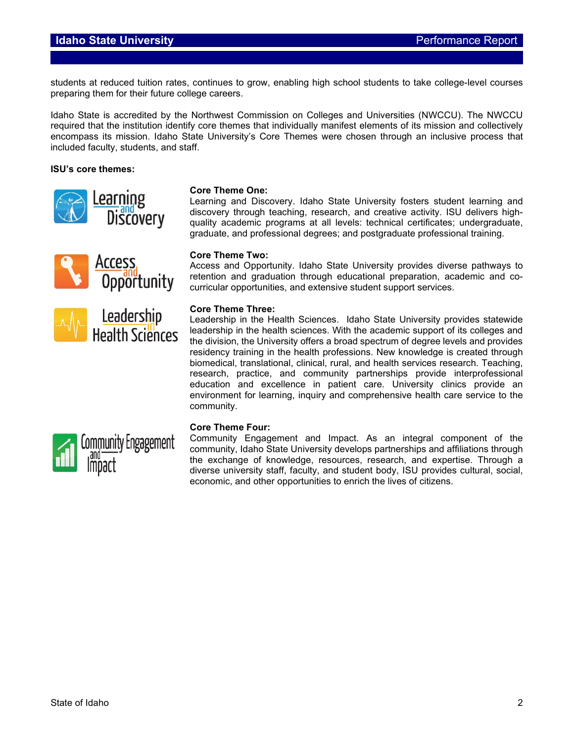## **Idaho State University Performance Report**

students at reduced tuition rates, continues to grow, enabling high school students to take college-level courses preparing them for their future college careers.

Idaho State is accredited by the Northwest Commission on Colleges and Universities (NWCCU). The NWCCU required that the institution identify core themes that individually manifest elements of its mission and collectively encompass its mission. Idaho State University's Core Themes were chosen through an inclusive process that included faculty, students, and staff.

#### **ISU's core themes:**







#### **Core Theme One:**

Learning and Discovery. Idaho State University fosters student learning and discovery through teaching, research, and creative activity. ISU delivers highquality academic programs at all levels: technical certificates; undergraduate, graduate, and professional degrees; and postgraduate professional training.

#### **Core Theme Two:**

Access and Opportunity. Idaho State University provides diverse pathways to retention and graduation through educational preparation, academic and cocurricular opportunities, and extensive student support services.

#### **Core Theme Three:**

Leadership in the Health Sciences. Idaho State University provides statewide leadership in the health sciences. With the academic support of its colleges and the division, the University offers a broad spectrum of degree levels and provides residency training in the health professions. New knowledge is created through biomedical, translational, clinical, rural, and health services research. Teaching, research, practice, and community partnerships provide interprofessional education and excellence in patient care. University clinics provide an environment for learning, inquiry and comprehensive health care service to the community.



#### **Core Theme Four:**

Community Engagement and Impact. As an integral component of the community, Idaho State University develops partnerships and affiliations through the exchange of knowledge, resources, research, and expertise. Through a diverse university staff, faculty, and student body, ISU provides cultural, social, economic, and other opportunities to enrich the lives of citizens.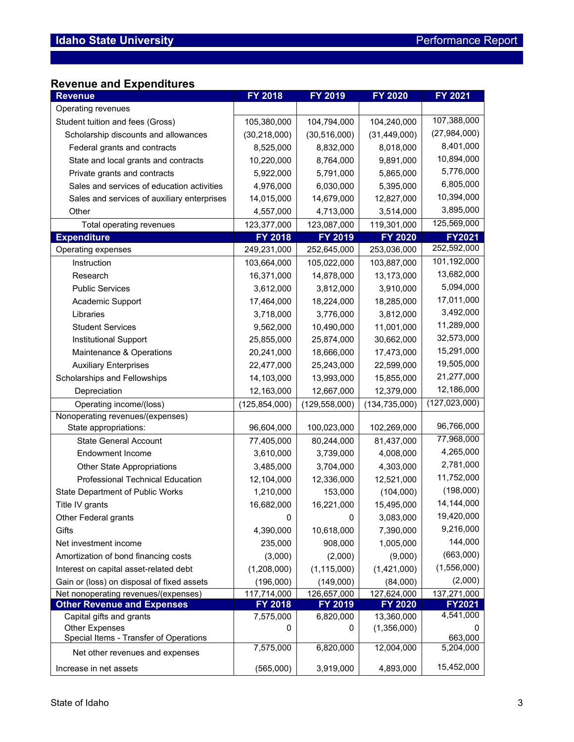# **Revenue and Expenditures**

| Operating revenues<br>107,388,000<br>104,794,000<br>104,240,000<br>Student tuition and fees (Gross)<br>105,380,000<br>(27, 984, 000)<br>(30, 218, 000)<br>(30, 516, 000)<br>(31, 449, 000)<br>Scholarship discounts and allowances<br>8,401,000<br>8,018,000<br>8,525,000<br>8,832,000<br>Federal grants and contracts<br>10,894,000<br>9,891,000<br>State and local grants and contracts<br>10,220,000<br>8,764,000<br>5,776,000<br>Private grants and contracts<br>5,922,000<br>5,791,000<br>5,865,000<br>6,805,000<br>Sales and services of education activities<br>4,976,000<br>6,030,000<br>5,395,000<br>10,394,000<br>Sales and services of auxiliary enterprises<br>14,015,000<br>14,679,000<br>12,827,000<br>3,895,000<br>Other<br>3,514,000<br>4,557,000<br>4,713,000<br>125,569,000<br>123,087,000<br>119,301,000<br>123,377,000<br>Total operating revenues<br>FY 2018<br>FY 2019<br><b>FY 2020</b><br><b>FY2021</b><br><b>Expenditure</b><br>252,592,000<br>Operating expenses<br>249,231,000<br>252,645,000<br>253,036,000<br>101,192,000<br>Instruction<br>103,664,000<br>105,022,000<br>103,887,000<br>13,682,000<br>16,371,000<br>14,878,000<br>13,173,000<br>Research<br>5,094,000<br><b>Public Services</b><br>3,612,000<br>3,910,000<br>3,812,000<br>17,011,000<br>Academic Support<br>17,464,000<br>18,224,000<br>18,285,000<br>3,492,000<br>Libraries<br>3,718,000<br>3,776,000<br>3,812,000<br>11,289,000<br>9,562,000<br>10,490,000<br>11,001,000<br><b>Student Services</b><br>32,573,000<br>30,662,000<br>Institutional Support<br>25,855,000<br>25,874,000<br>15,291,000<br>Maintenance & Operations<br>20,241,000<br>18,666,000<br>17,473,000<br>19,505,000<br><b>Auxiliary Enterprises</b><br>22,477,000<br>25,243,000<br>22,599,000<br>21,277,000<br>Scholarships and Fellowships<br>14,103,000<br>13,993,000<br>15,855,000<br>12,186,000<br>Depreciation<br>12,163,000<br>12,667,000<br>12,379,000<br>(127, 023, 000)<br>Operating income/(loss)<br>(125, 854, 000)<br>(129, 558, 000)<br>(134, 735, 000)<br>Nonoperating revenues/(expenses)<br>96,766,000<br>96,604,000<br>100,023,000<br>102,269,000<br>State appropriations:<br>77,968,000<br><b>State General Account</b><br>77,405,000<br>80,244,000<br>81,437,000<br>4,265,000<br>4,008,000<br><b>Endowment Income</b><br>3,610,000<br>3,739,000<br>2,781,000<br>3,485,000<br>3,704,000<br>4,303,000<br><b>Other State Appropriations</b><br>11,752,000<br>Professional Technical Education<br>12,104,000<br>12,336,000<br>12,521,000<br>(198,000)<br>State Department of Public Works<br>1,210,000<br>153,000<br>(104,000)<br>14,144,000<br>16,682,000<br>15,495,000<br>Title IV grants<br>16,221,000<br>19,420,000<br>Other Federal grants<br>0<br>3,083,000<br>0<br>9,216,000<br>Gifts<br>4,390,000<br>10,618,000<br>7,390,000<br>144,000<br>1,005,000<br>Net investment income<br>235,000<br>908,000<br>(663,000)<br>Amortization of bond financing costs<br>(3,000)<br>(2,000)<br>(9,000)<br>(1,556,000)<br>(1,208,000)<br>(1,421,000)<br>Interest on capital asset-related debt<br>(1, 115, 000)<br>(2,000)<br>Gain or (loss) on disposal of fixed assets<br>(196,000)<br>(149,000)<br>(84,000)<br>Net nonoperating revenues/(expenses)<br>127,624,000<br>137,271,000<br>117,714,000<br>126,657,000<br><b>Other Revenue and Expenses</b><br>FY 2018<br>FY 2019<br>FY 2020<br><b>FY2021</b><br>4,541,000<br>Capital gifts and grants<br>13,360,000<br>7,575,000<br>6,820,000<br><b>Other Expenses</b><br>(1,356,000)<br>0<br>0<br>0<br>Special Items - Transfer of Operations<br>663,000<br>6,820,000<br>12,004,000<br>7,575,000<br>5,204,000<br>Net other revenues and expenses | <b>Revenue</b>         | FY 2018   | FY 2019   | FY 2020   | FY 2021    |
|----------------------------------------------------------------------------------------------------------------------------------------------------------------------------------------------------------------------------------------------------------------------------------------------------------------------------------------------------------------------------------------------------------------------------------------------------------------------------------------------------------------------------------------------------------------------------------------------------------------------------------------------------------------------------------------------------------------------------------------------------------------------------------------------------------------------------------------------------------------------------------------------------------------------------------------------------------------------------------------------------------------------------------------------------------------------------------------------------------------------------------------------------------------------------------------------------------------------------------------------------------------------------------------------------------------------------------------------------------------------------------------------------------------------------------------------------------------------------------------------------------------------------------------------------------------------------------------------------------------------------------------------------------------------------------------------------------------------------------------------------------------------------------------------------------------------------------------------------------------------------------------------------------------------------------------------------------------------------------------------------------------------------------------------------------------------------------------------------------------------------------------------------------------------------------------------------------------------------------------------------------------------------------------------------------------------------------------------------------------------------------------------------------------------------------------------------------------------------------------------------------------------------------------------------------------------------------------------------------------------------------------------------------------------------------------------------------------------------------------------------------------------------------------------------------------------------------------------------------------------------------------------------------------------------------------------------------------------------------------------------------------------------------------------------------------------------------------------------------------------------------------------------------------------------------------------------------------------------------------------------------------------------------------------------------------------------------------------------------------------------------------------------------------------------------------------------------------------------------------------------------------------------------------------------------------------------------------------------------------------------------------------------------------------------|------------------------|-----------|-----------|-----------|------------|
|                                                                                                                                                                                                                                                                                                                                                                                                                                                                                                                                                                                                                                                                                                                                                                                                                                                                                                                                                                                                                                                                                                                                                                                                                                                                                                                                                                                                                                                                                                                                                                                                                                                                                                                                                                                                                                                                                                                                                                                                                                                                                                                                                                                                                                                                                                                                                                                                                                                                                                                                                                                                                                                                                                                                                                                                                                                                                                                                                                                                                                                                                                                                                                                                                                                                                                                                                                                                                                                                                                                                                                                                                                                                            |                        |           |           |           |            |
|                                                                                                                                                                                                                                                                                                                                                                                                                                                                                                                                                                                                                                                                                                                                                                                                                                                                                                                                                                                                                                                                                                                                                                                                                                                                                                                                                                                                                                                                                                                                                                                                                                                                                                                                                                                                                                                                                                                                                                                                                                                                                                                                                                                                                                                                                                                                                                                                                                                                                                                                                                                                                                                                                                                                                                                                                                                                                                                                                                                                                                                                                                                                                                                                                                                                                                                                                                                                                                                                                                                                                                                                                                                                            |                        |           |           |           |            |
|                                                                                                                                                                                                                                                                                                                                                                                                                                                                                                                                                                                                                                                                                                                                                                                                                                                                                                                                                                                                                                                                                                                                                                                                                                                                                                                                                                                                                                                                                                                                                                                                                                                                                                                                                                                                                                                                                                                                                                                                                                                                                                                                                                                                                                                                                                                                                                                                                                                                                                                                                                                                                                                                                                                                                                                                                                                                                                                                                                                                                                                                                                                                                                                                                                                                                                                                                                                                                                                                                                                                                                                                                                                                            |                        |           |           |           |            |
|                                                                                                                                                                                                                                                                                                                                                                                                                                                                                                                                                                                                                                                                                                                                                                                                                                                                                                                                                                                                                                                                                                                                                                                                                                                                                                                                                                                                                                                                                                                                                                                                                                                                                                                                                                                                                                                                                                                                                                                                                                                                                                                                                                                                                                                                                                                                                                                                                                                                                                                                                                                                                                                                                                                                                                                                                                                                                                                                                                                                                                                                                                                                                                                                                                                                                                                                                                                                                                                                                                                                                                                                                                                                            |                        |           |           |           |            |
|                                                                                                                                                                                                                                                                                                                                                                                                                                                                                                                                                                                                                                                                                                                                                                                                                                                                                                                                                                                                                                                                                                                                                                                                                                                                                                                                                                                                                                                                                                                                                                                                                                                                                                                                                                                                                                                                                                                                                                                                                                                                                                                                                                                                                                                                                                                                                                                                                                                                                                                                                                                                                                                                                                                                                                                                                                                                                                                                                                                                                                                                                                                                                                                                                                                                                                                                                                                                                                                                                                                                                                                                                                                                            |                        |           |           |           |            |
|                                                                                                                                                                                                                                                                                                                                                                                                                                                                                                                                                                                                                                                                                                                                                                                                                                                                                                                                                                                                                                                                                                                                                                                                                                                                                                                                                                                                                                                                                                                                                                                                                                                                                                                                                                                                                                                                                                                                                                                                                                                                                                                                                                                                                                                                                                                                                                                                                                                                                                                                                                                                                                                                                                                                                                                                                                                                                                                                                                                                                                                                                                                                                                                                                                                                                                                                                                                                                                                                                                                                                                                                                                                                            |                        |           |           |           |            |
|                                                                                                                                                                                                                                                                                                                                                                                                                                                                                                                                                                                                                                                                                                                                                                                                                                                                                                                                                                                                                                                                                                                                                                                                                                                                                                                                                                                                                                                                                                                                                                                                                                                                                                                                                                                                                                                                                                                                                                                                                                                                                                                                                                                                                                                                                                                                                                                                                                                                                                                                                                                                                                                                                                                                                                                                                                                                                                                                                                                                                                                                                                                                                                                                                                                                                                                                                                                                                                                                                                                                                                                                                                                                            |                        |           |           |           |            |
|                                                                                                                                                                                                                                                                                                                                                                                                                                                                                                                                                                                                                                                                                                                                                                                                                                                                                                                                                                                                                                                                                                                                                                                                                                                                                                                                                                                                                                                                                                                                                                                                                                                                                                                                                                                                                                                                                                                                                                                                                                                                                                                                                                                                                                                                                                                                                                                                                                                                                                                                                                                                                                                                                                                                                                                                                                                                                                                                                                                                                                                                                                                                                                                                                                                                                                                                                                                                                                                                                                                                                                                                                                                                            |                        |           |           |           |            |
|                                                                                                                                                                                                                                                                                                                                                                                                                                                                                                                                                                                                                                                                                                                                                                                                                                                                                                                                                                                                                                                                                                                                                                                                                                                                                                                                                                                                                                                                                                                                                                                                                                                                                                                                                                                                                                                                                                                                                                                                                                                                                                                                                                                                                                                                                                                                                                                                                                                                                                                                                                                                                                                                                                                                                                                                                                                                                                                                                                                                                                                                                                                                                                                                                                                                                                                                                                                                                                                                                                                                                                                                                                                                            |                        |           |           |           |            |
|                                                                                                                                                                                                                                                                                                                                                                                                                                                                                                                                                                                                                                                                                                                                                                                                                                                                                                                                                                                                                                                                                                                                                                                                                                                                                                                                                                                                                                                                                                                                                                                                                                                                                                                                                                                                                                                                                                                                                                                                                                                                                                                                                                                                                                                                                                                                                                                                                                                                                                                                                                                                                                                                                                                                                                                                                                                                                                                                                                                                                                                                                                                                                                                                                                                                                                                                                                                                                                                                                                                                                                                                                                                                            |                        |           |           |           |            |
|                                                                                                                                                                                                                                                                                                                                                                                                                                                                                                                                                                                                                                                                                                                                                                                                                                                                                                                                                                                                                                                                                                                                                                                                                                                                                                                                                                                                                                                                                                                                                                                                                                                                                                                                                                                                                                                                                                                                                                                                                                                                                                                                                                                                                                                                                                                                                                                                                                                                                                                                                                                                                                                                                                                                                                                                                                                                                                                                                                                                                                                                                                                                                                                                                                                                                                                                                                                                                                                                                                                                                                                                                                                                            |                        |           |           |           |            |
|                                                                                                                                                                                                                                                                                                                                                                                                                                                                                                                                                                                                                                                                                                                                                                                                                                                                                                                                                                                                                                                                                                                                                                                                                                                                                                                                                                                                                                                                                                                                                                                                                                                                                                                                                                                                                                                                                                                                                                                                                                                                                                                                                                                                                                                                                                                                                                                                                                                                                                                                                                                                                                                                                                                                                                                                                                                                                                                                                                                                                                                                                                                                                                                                                                                                                                                                                                                                                                                                                                                                                                                                                                                                            |                        |           |           |           |            |
|                                                                                                                                                                                                                                                                                                                                                                                                                                                                                                                                                                                                                                                                                                                                                                                                                                                                                                                                                                                                                                                                                                                                                                                                                                                                                                                                                                                                                                                                                                                                                                                                                                                                                                                                                                                                                                                                                                                                                                                                                                                                                                                                                                                                                                                                                                                                                                                                                                                                                                                                                                                                                                                                                                                                                                                                                                                                                                                                                                                                                                                                                                                                                                                                                                                                                                                                                                                                                                                                                                                                                                                                                                                                            |                        |           |           |           |            |
|                                                                                                                                                                                                                                                                                                                                                                                                                                                                                                                                                                                                                                                                                                                                                                                                                                                                                                                                                                                                                                                                                                                                                                                                                                                                                                                                                                                                                                                                                                                                                                                                                                                                                                                                                                                                                                                                                                                                                                                                                                                                                                                                                                                                                                                                                                                                                                                                                                                                                                                                                                                                                                                                                                                                                                                                                                                                                                                                                                                                                                                                                                                                                                                                                                                                                                                                                                                                                                                                                                                                                                                                                                                                            |                        |           |           |           |            |
|                                                                                                                                                                                                                                                                                                                                                                                                                                                                                                                                                                                                                                                                                                                                                                                                                                                                                                                                                                                                                                                                                                                                                                                                                                                                                                                                                                                                                                                                                                                                                                                                                                                                                                                                                                                                                                                                                                                                                                                                                                                                                                                                                                                                                                                                                                                                                                                                                                                                                                                                                                                                                                                                                                                                                                                                                                                                                                                                                                                                                                                                                                                                                                                                                                                                                                                                                                                                                                                                                                                                                                                                                                                                            |                        |           |           |           |            |
|                                                                                                                                                                                                                                                                                                                                                                                                                                                                                                                                                                                                                                                                                                                                                                                                                                                                                                                                                                                                                                                                                                                                                                                                                                                                                                                                                                                                                                                                                                                                                                                                                                                                                                                                                                                                                                                                                                                                                                                                                                                                                                                                                                                                                                                                                                                                                                                                                                                                                                                                                                                                                                                                                                                                                                                                                                                                                                                                                                                                                                                                                                                                                                                                                                                                                                                                                                                                                                                                                                                                                                                                                                                                            |                        |           |           |           |            |
|                                                                                                                                                                                                                                                                                                                                                                                                                                                                                                                                                                                                                                                                                                                                                                                                                                                                                                                                                                                                                                                                                                                                                                                                                                                                                                                                                                                                                                                                                                                                                                                                                                                                                                                                                                                                                                                                                                                                                                                                                                                                                                                                                                                                                                                                                                                                                                                                                                                                                                                                                                                                                                                                                                                                                                                                                                                                                                                                                                                                                                                                                                                                                                                                                                                                                                                                                                                                                                                                                                                                                                                                                                                                            |                        |           |           |           |            |
|                                                                                                                                                                                                                                                                                                                                                                                                                                                                                                                                                                                                                                                                                                                                                                                                                                                                                                                                                                                                                                                                                                                                                                                                                                                                                                                                                                                                                                                                                                                                                                                                                                                                                                                                                                                                                                                                                                                                                                                                                                                                                                                                                                                                                                                                                                                                                                                                                                                                                                                                                                                                                                                                                                                                                                                                                                                                                                                                                                                                                                                                                                                                                                                                                                                                                                                                                                                                                                                                                                                                                                                                                                                                            |                        |           |           |           |            |
|                                                                                                                                                                                                                                                                                                                                                                                                                                                                                                                                                                                                                                                                                                                                                                                                                                                                                                                                                                                                                                                                                                                                                                                                                                                                                                                                                                                                                                                                                                                                                                                                                                                                                                                                                                                                                                                                                                                                                                                                                                                                                                                                                                                                                                                                                                                                                                                                                                                                                                                                                                                                                                                                                                                                                                                                                                                                                                                                                                                                                                                                                                                                                                                                                                                                                                                                                                                                                                                                                                                                                                                                                                                                            |                        |           |           |           |            |
|                                                                                                                                                                                                                                                                                                                                                                                                                                                                                                                                                                                                                                                                                                                                                                                                                                                                                                                                                                                                                                                                                                                                                                                                                                                                                                                                                                                                                                                                                                                                                                                                                                                                                                                                                                                                                                                                                                                                                                                                                                                                                                                                                                                                                                                                                                                                                                                                                                                                                                                                                                                                                                                                                                                                                                                                                                                                                                                                                                                                                                                                                                                                                                                                                                                                                                                                                                                                                                                                                                                                                                                                                                                                            |                        |           |           |           |            |
|                                                                                                                                                                                                                                                                                                                                                                                                                                                                                                                                                                                                                                                                                                                                                                                                                                                                                                                                                                                                                                                                                                                                                                                                                                                                                                                                                                                                                                                                                                                                                                                                                                                                                                                                                                                                                                                                                                                                                                                                                                                                                                                                                                                                                                                                                                                                                                                                                                                                                                                                                                                                                                                                                                                                                                                                                                                                                                                                                                                                                                                                                                                                                                                                                                                                                                                                                                                                                                                                                                                                                                                                                                                                            |                        |           |           |           |            |
|                                                                                                                                                                                                                                                                                                                                                                                                                                                                                                                                                                                                                                                                                                                                                                                                                                                                                                                                                                                                                                                                                                                                                                                                                                                                                                                                                                                                                                                                                                                                                                                                                                                                                                                                                                                                                                                                                                                                                                                                                                                                                                                                                                                                                                                                                                                                                                                                                                                                                                                                                                                                                                                                                                                                                                                                                                                                                                                                                                                                                                                                                                                                                                                                                                                                                                                                                                                                                                                                                                                                                                                                                                                                            |                        |           |           |           |            |
|                                                                                                                                                                                                                                                                                                                                                                                                                                                                                                                                                                                                                                                                                                                                                                                                                                                                                                                                                                                                                                                                                                                                                                                                                                                                                                                                                                                                                                                                                                                                                                                                                                                                                                                                                                                                                                                                                                                                                                                                                                                                                                                                                                                                                                                                                                                                                                                                                                                                                                                                                                                                                                                                                                                                                                                                                                                                                                                                                                                                                                                                                                                                                                                                                                                                                                                                                                                                                                                                                                                                                                                                                                                                            |                        |           |           |           |            |
|                                                                                                                                                                                                                                                                                                                                                                                                                                                                                                                                                                                                                                                                                                                                                                                                                                                                                                                                                                                                                                                                                                                                                                                                                                                                                                                                                                                                                                                                                                                                                                                                                                                                                                                                                                                                                                                                                                                                                                                                                                                                                                                                                                                                                                                                                                                                                                                                                                                                                                                                                                                                                                                                                                                                                                                                                                                                                                                                                                                                                                                                                                                                                                                                                                                                                                                                                                                                                                                                                                                                                                                                                                                                            |                        |           |           |           |            |
|                                                                                                                                                                                                                                                                                                                                                                                                                                                                                                                                                                                                                                                                                                                                                                                                                                                                                                                                                                                                                                                                                                                                                                                                                                                                                                                                                                                                                                                                                                                                                                                                                                                                                                                                                                                                                                                                                                                                                                                                                                                                                                                                                                                                                                                                                                                                                                                                                                                                                                                                                                                                                                                                                                                                                                                                                                                                                                                                                                                                                                                                                                                                                                                                                                                                                                                                                                                                                                                                                                                                                                                                                                                                            |                        |           |           |           |            |
|                                                                                                                                                                                                                                                                                                                                                                                                                                                                                                                                                                                                                                                                                                                                                                                                                                                                                                                                                                                                                                                                                                                                                                                                                                                                                                                                                                                                                                                                                                                                                                                                                                                                                                                                                                                                                                                                                                                                                                                                                                                                                                                                                                                                                                                                                                                                                                                                                                                                                                                                                                                                                                                                                                                                                                                                                                                                                                                                                                                                                                                                                                                                                                                                                                                                                                                                                                                                                                                                                                                                                                                                                                                                            |                        |           |           |           |            |
|                                                                                                                                                                                                                                                                                                                                                                                                                                                                                                                                                                                                                                                                                                                                                                                                                                                                                                                                                                                                                                                                                                                                                                                                                                                                                                                                                                                                                                                                                                                                                                                                                                                                                                                                                                                                                                                                                                                                                                                                                                                                                                                                                                                                                                                                                                                                                                                                                                                                                                                                                                                                                                                                                                                                                                                                                                                                                                                                                                                                                                                                                                                                                                                                                                                                                                                                                                                                                                                                                                                                                                                                                                                                            |                        |           |           |           |            |
|                                                                                                                                                                                                                                                                                                                                                                                                                                                                                                                                                                                                                                                                                                                                                                                                                                                                                                                                                                                                                                                                                                                                                                                                                                                                                                                                                                                                                                                                                                                                                                                                                                                                                                                                                                                                                                                                                                                                                                                                                                                                                                                                                                                                                                                                                                                                                                                                                                                                                                                                                                                                                                                                                                                                                                                                                                                                                                                                                                                                                                                                                                                                                                                                                                                                                                                                                                                                                                                                                                                                                                                                                                                                            |                        |           |           |           |            |
|                                                                                                                                                                                                                                                                                                                                                                                                                                                                                                                                                                                                                                                                                                                                                                                                                                                                                                                                                                                                                                                                                                                                                                                                                                                                                                                                                                                                                                                                                                                                                                                                                                                                                                                                                                                                                                                                                                                                                                                                                                                                                                                                                                                                                                                                                                                                                                                                                                                                                                                                                                                                                                                                                                                                                                                                                                                                                                                                                                                                                                                                                                                                                                                                                                                                                                                                                                                                                                                                                                                                                                                                                                                                            |                        |           |           |           |            |
|                                                                                                                                                                                                                                                                                                                                                                                                                                                                                                                                                                                                                                                                                                                                                                                                                                                                                                                                                                                                                                                                                                                                                                                                                                                                                                                                                                                                                                                                                                                                                                                                                                                                                                                                                                                                                                                                                                                                                                                                                                                                                                                                                                                                                                                                                                                                                                                                                                                                                                                                                                                                                                                                                                                                                                                                                                                                                                                                                                                                                                                                                                                                                                                                                                                                                                                                                                                                                                                                                                                                                                                                                                                                            |                        |           |           |           |            |
|                                                                                                                                                                                                                                                                                                                                                                                                                                                                                                                                                                                                                                                                                                                                                                                                                                                                                                                                                                                                                                                                                                                                                                                                                                                                                                                                                                                                                                                                                                                                                                                                                                                                                                                                                                                                                                                                                                                                                                                                                                                                                                                                                                                                                                                                                                                                                                                                                                                                                                                                                                                                                                                                                                                                                                                                                                                                                                                                                                                                                                                                                                                                                                                                                                                                                                                                                                                                                                                                                                                                                                                                                                                                            |                        |           |           |           |            |
|                                                                                                                                                                                                                                                                                                                                                                                                                                                                                                                                                                                                                                                                                                                                                                                                                                                                                                                                                                                                                                                                                                                                                                                                                                                                                                                                                                                                                                                                                                                                                                                                                                                                                                                                                                                                                                                                                                                                                                                                                                                                                                                                                                                                                                                                                                                                                                                                                                                                                                                                                                                                                                                                                                                                                                                                                                                                                                                                                                                                                                                                                                                                                                                                                                                                                                                                                                                                                                                                                                                                                                                                                                                                            |                        |           |           |           |            |
|                                                                                                                                                                                                                                                                                                                                                                                                                                                                                                                                                                                                                                                                                                                                                                                                                                                                                                                                                                                                                                                                                                                                                                                                                                                                                                                                                                                                                                                                                                                                                                                                                                                                                                                                                                                                                                                                                                                                                                                                                                                                                                                                                                                                                                                                                                                                                                                                                                                                                                                                                                                                                                                                                                                                                                                                                                                                                                                                                                                                                                                                                                                                                                                                                                                                                                                                                                                                                                                                                                                                                                                                                                                                            |                        |           |           |           |            |
|                                                                                                                                                                                                                                                                                                                                                                                                                                                                                                                                                                                                                                                                                                                                                                                                                                                                                                                                                                                                                                                                                                                                                                                                                                                                                                                                                                                                                                                                                                                                                                                                                                                                                                                                                                                                                                                                                                                                                                                                                                                                                                                                                                                                                                                                                                                                                                                                                                                                                                                                                                                                                                                                                                                                                                                                                                                                                                                                                                                                                                                                                                                                                                                                                                                                                                                                                                                                                                                                                                                                                                                                                                                                            |                        |           |           |           |            |
|                                                                                                                                                                                                                                                                                                                                                                                                                                                                                                                                                                                                                                                                                                                                                                                                                                                                                                                                                                                                                                                                                                                                                                                                                                                                                                                                                                                                                                                                                                                                                                                                                                                                                                                                                                                                                                                                                                                                                                                                                                                                                                                                                                                                                                                                                                                                                                                                                                                                                                                                                                                                                                                                                                                                                                                                                                                                                                                                                                                                                                                                                                                                                                                                                                                                                                                                                                                                                                                                                                                                                                                                                                                                            |                        |           |           |           |            |
|                                                                                                                                                                                                                                                                                                                                                                                                                                                                                                                                                                                                                                                                                                                                                                                                                                                                                                                                                                                                                                                                                                                                                                                                                                                                                                                                                                                                                                                                                                                                                                                                                                                                                                                                                                                                                                                                                                                                                                                                                                                                                                                                                                                                                                                                                                                                                                                                                                                                                                                                                                                                                                                                                                                                                                                                                                                                                                                                                                                                                                                                                                                                                                                                                                                                                                                                                                                                                                                                                                                                                                                                                                                                            |                        |           |           |           |            |
|                                                                                                                                                                                                                                                                                                                                                                                                                                                                                                                                                                                                                                                                                                                                                                                                                                                                                                                                                                                                                                                                                                                                                                                                                                                                                                                                                                                                                                                                                                                                                                                                                                                                                                                                                                                                                                                                                                                                                                                                                                                                                                                                                                                                                                                                                                                                                                                                                                                                                                                                                                                                                                                                                                                                                                                                                                                                                                                                                                                                                                                                                                                                                                                                                                                                                                                                                                                                                                                                                                                                                                                                                                                                            |                        |           |           |           |            |
|                                                                                                                                                                                                                                                                                                                                                                                                                                                                                                                                                                                                                                                                                                                                                                                                                                                                                                                                                                                                                                                                                                                                                                                                                                                                                                                                                                                                                                                                                                                                                                                                                                                                                                                                                                                                                                                                                                                                                                                                                                                                                                                                                                                                                                                                                                                                                                                                                                                                                                                                                                                                                                                                                                                                                                                                                                                                                                                                                                                                                                                                                                                                                                                                                                                                                                                                                                                                                                                                                                                                                                                                                                                                            |                        |           |           |           |            |
|                                                                                                                                                                                                                                                                                                                                                                                                                                                                                                                                                                                                                                                                                                                                                                                                                                                                                                                                                                                                                                                                                                                                                                                                                                                                                                                                                                                                                                                                                                                                                                                                                                                                                                                                                                                                                                                                                                                                                                                                                                                                                                                                                                                                                                                                                                                                                                                                                                                                                                                                                                                                                                                                                                                                                                                                                                                                                                                                                                                                                                                                                                                                                                                                                                                                                                                                                                                                                                                                                                                                                                                                                                                                            |                        |           |           |           |            |
|                                                                                                                                                                                                                                                                                                                                                                                                                                                                                                                                                                                                                                                                                                                                                                                                                                                                                                                                                                                                                                                                                                                                                                                                                                                                                                                                                                                                                                                                                                                                                                                                                                                                                                                                                                                                                                                                                                                                                                                                                                                                                                                                                                                                                                                                                                                                                                                                                                                                                                                                                                                                                                                                                                                                                                                                                                                                                                                                                                                                                                                                                                                                                                                                                                                                                                                                                                                                                                                                                                                                                                                                                                                                            |                        |           |           |           |            |
|                                                                                                                                                                                                                                                                                                                                                                                                                                                                                                                                                                                                                                                                                                                                                                                                                                                                                                                                                                                                                                                                                                                                                                                                                                                                                                                                                                                                                                                                                                                                                                                                                                                                                                                                                                                                                                                                                                                                                                                                                                                                                                                                                                                                                                                                                                                                                                                                                                                                                                                                                                                                                                                                                                                                                                                                                                                                                                                                                                                                                                                                                                                                                                                                                                                                                                                                                                                                                                                                                                                                                                                                                                                                            |                        |           |           |           |            |
|                                                                                                                                                                                                                                                                                                                                                                                                                                                                                                                                                                                                                                                                                                                                                                                                                                                                                                                                                                                                                                                                                                                                                                                                                                                                                                                                                                                                                                                                                                                                                                                                                                                                                                                                                                                                                                                                                                                                                                                                                                                                                                                                                                                                                                                                                                                                                                                                                                                                                                                                                                                                                                                                                                                                                                                                                                                                                                                                                                                                                                                                                                                                                                                                                                                                                                                                                                                                                                                                                                                                                                                                                                                                            |                        |           |           |           |            |
|                                                                                                                                                                                                                                                                                                                                                                                                                                                                                                                                                                                                                                                                                                                                                                                                                                                                                                                                                                                                                                                                                                                                                                                                                                                                                                                                                                                                                                                                                                                                                                                                                                                                                                                                                                                                                                                                                                                                                                                                                                                                                                                                                                                                                                                                                                                                                                                                                                                                                                                                                                                                                                                                                                                                                                                                                                                                                                                                                                                                                                                                                                                                                                                                                                                                                                                                                                                                                                                                                                                                                                                                                                                                            |                        |           |           |           |            |
|                                                                                                                                                                                                                                                                                                                                                                                                                                                                                                                                                                                                                                                                                                                                                                                                                                                                                                                                                                                                                                                                                                                                                                                                                                                                                                                                                                                                                                                                                                                                                                                                                                                                                                                                                                                                                                                                                                                                                                                                                                                                                                                                                                                                                                                                                                                                                                                                                                                                                                                                                                                                                                                                                                                                                                                                                                                                                                                                                                                                                                                                                                                                                                                                                                                                                                                                                                                                                                                                                                                                                                                                                                                                            | Increase in net assets | (565,000) | 3,919,000 | 4,893,000 | 15,452,000 |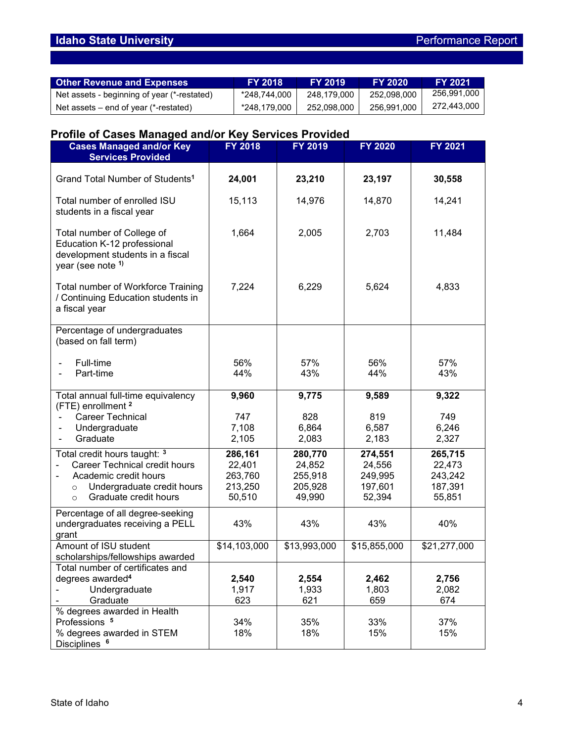# **Idaho State University Performance Report**

| <b>Other Revenue and Expenses</b>           | <b>FY 2018</b> | <b>FY 2019</b> | <b>FY 2020</b> | <b>FY 2021</b> |
|---------------------------------------------|----------------|----------------|----------------|----------------|
| Net assets - beginning of year (*-restated) | *248,744,000   | 248,179,000    | 252,098,000    | 256,991,000    |
| Net assets $-$ end of year (*-restated)     | *248,179,000   | 252,098,000    | 256,991,000    | 272,443,000    |

# **Profile of Cases Managed and/or Key Services Provided**

| , ,,,,,,,,,,<br><b>Cases Managed and/or Key</b><br><b>Services Provided</b>                                                                                                 | <b>FY 2018</b>                                    | FY 2019                                           | <b>FY 2020</b>                                    | FY 2021                                           |
|-----------------------------------------------------------------------------------------------------------------------------------------------------------------------------|---------------------------------------------------|---------------------------------------------------|---------------------------------------------------|---------------------------------------------------|
| Grand Total Number of Students <sup>1</sup>                                                                                                                                 | 24,001                                            | 23,210                                            | 23,197                                            | 30,558                                            |
| Total number of enrolled ISU<br>students in a fiscal year                                                                                                                   | 15,113                                            | 14,976                                            | 14,870                                            | 14,241                                            |
| Total number of College of<br>Education K-12 professional<br>development students in a fiscal<br>year (see note 1)                                                          | 1,664                                             | 2,005                                             | 2,703                                             | 11,484                                            |
| Total number of Workforce Training<br>/ Continuing Education students in<br>a fiscal year                                                                                   | 7,224                                             | 6,229                                             | 5,624                                             | 4,833                                             |
| Percentage of undergraduates<br>(based on fall term)                                                                                                                        |                                                   |                                                   |                                                   |                                                   |
| Full-time<br>Part-time                                                                                                                                                      | 56%<br>44%                                        | 57%<br>43%                                        | 56%<br>44%                                        | 57%<br>43%                                        |
| Total annual full-time equivalency<br>(FTE) enrollment <sup>2</sup><br>Career Technical<br>Undergraduate<br>Graduate<br>$\blacksquare$                                      | 9,960<br>747<br>7,108<br>2,105                    | 9,775<br>828<br>6,864<br>2,083                    | 9,589<br>819<br>6,587<br>2,183                    | 9,322<br>749<br>6,246<br>2,327                    |
| Total credit hours taught: 3<br><b>Career Technical credit hours</b><br>Academic credit hours<br>Undergraduate credit hours<br>$\circ$<br>Graduate credit hours<br>$\Omega$ | 286,161<br>22,401<br>263,760<br>213,250<br>50,510 | 280,770<br>24,852<br>255,918<br>205,928<br>49,990 | 274,551<br>24,556<br>249,995<br>197,601<br>52,394 | 265,715<br>22,473<br>243,242<br>187,391<br>55,851 |
| Percentage of all degree-seeking<br>undergraduates receiving a PELL<br>grant                                                                                                | 43%                                               | 43%                                               | 43%                                               | 40%                                               |
| Amount of ISU student<br>scholarships/fellowships awarded                                                                                                                   | \$14,103,000                                      | \$13,993,000                                      | \$15,855,000                                      | \$21,277,000                                      |
| Total number of certificates and<br>degrees awarded <sup>4</sup><br>Undergraduate<br>Graduate                                                                               | 2,540<br>1,917<br>623                             | 2,554<br>1,933<br>621                             | 2,462<br>1,803<br>659                             | 2,756<br>2,082<br>674                             |
| % degrees awarded in Health<br>Professions <sup>5</sup><br>% degrees awarded in STEM<br>Disciplines <sup>6</sup>                                                            | 34%<br>18%                                        | 35%<br>18%                                        | 33%<br>15%                                        | 37%<br>15%                                        |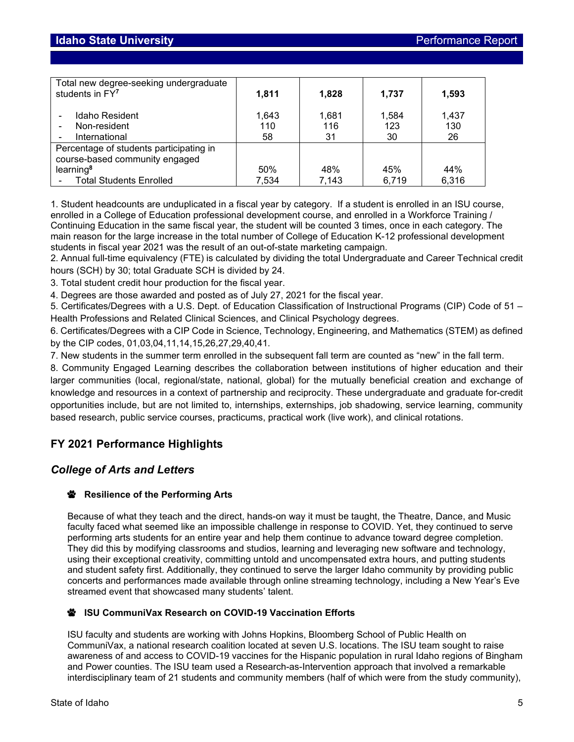| Total new degree-seeking undergraduate<br>students in FY7                                                                            | 1,811              | 1,828              | 1,737              | 1,593              |
|--------------------------------------------------------------------------------------------------------------------------------------|--------------------|--------------------|--------------------|--------------------|
| Idaho Resident<br>Non-resident<br>International                                                                                      | 1,643<br>110<br>58 | 1,681<br>116<br>31 | 1,584<br>123<br>30 | 1.437<br>130<br>26 |
| Percentage of students participating in<br>course-based community engaged<br>learning <sup>8</sup><br><b>Total Students Enrolled</b> | 50%<br>7,534       | 48%<br>7,143       | 45%<br>6,719       | 44%<br>6,316       |

1. Student headcounts are unduplicated in a fiscal year by category. If a student is enrolled in an ISU course, enrolled in a College of Education professional development course, and enrolled in a Workforce Training / Continuing Education in the same fiscal year, the student will be counted 3 times, once in each category. The main reason for the large increase in the total number of College of Education K-12 professional development students in fiscal year 2021 was the result of an out-of-state marketing campaign.

2. Annual full-time equivalency (FTE) is calculated by dividing the total Undergraduate and Career Technical credit hours (SCH) by 30; total Graduate SCH is divided by 24.

3. Total student credit hour production for the fiscal year.

4. Degrees are those awarded and posted as of July 27, 2021 for the fiscal year.

5. Certificates/Degrees with a U.S. Dept. of Education Classification of Instructional Programs (CIP) Code of 51 – Health Professions and Related Clinical Sciences, and Clinical Psychology degrees.

6. Certificates/Degrees with a CIP Code in Science, Technology, Engineering, and Mathematics (STEM) as defined by the CIP codes, 01,03,04,11,14,15,26,27,29,40,41.

7. New students in the summer term enrolled in the subsequent fall term are counted as "new" in the fall term.

8. Community Engaged Learning describes the collaboration between institutions of higher education and their larger communities (local, regional/state, national, global) for the mutually beneficial creation and exchange of knowledge and resources in a context of partnership and reciprocity. These undergraduate and graduate for-credit opportunities include, but are not limited to, internships, externships, job shadowing, service learning, community based research, public service courses, practicums, practical work (live work), and clinical rotations.

# **FY 2021 Performance Highlights**

# *College of Arts and Letters*

## *<b>W* Resilience of the Performing Arts

Because of what they teach and the direct, hands-on way it must be taught, the Theatre, Dance, and Music faculty faced what seemed like an impossible challenge in response to COVID. Yet, they continued to serve performing arts students for an entire year and help them continue to advance toward degree completion. They did this by modifying classrooms and studios, learning and leveraging new software and technology, using their exceptional creativity, committing untold and uncompensated extra hours, and putting students and student safety first. Additionally, they continued to serve the larger Idaho community by providing public concerts and performances made available through online streaming technology, including a New Year's Eve streamed event that showcased many students' talent.

#### **ISU CommuniVax Research on COVID-19 Vaccination Efforts**

ISU faculty and students are working with Johns Hopkins, Bloomberg School of Public Health on [CommuniVax,](https://www.communivax.org/) a national research coalition located at seven U.S. locations. The ISU team sought to raise awareness of and access to COVID-19 vaccines for the Hispanic population in rural Idaho regions of Bingham and Power counties. The ISU team used a Research-as-Intervention approach that involved a remarkable interdisciplinary team of 21 students and community members (half of which were from the study community),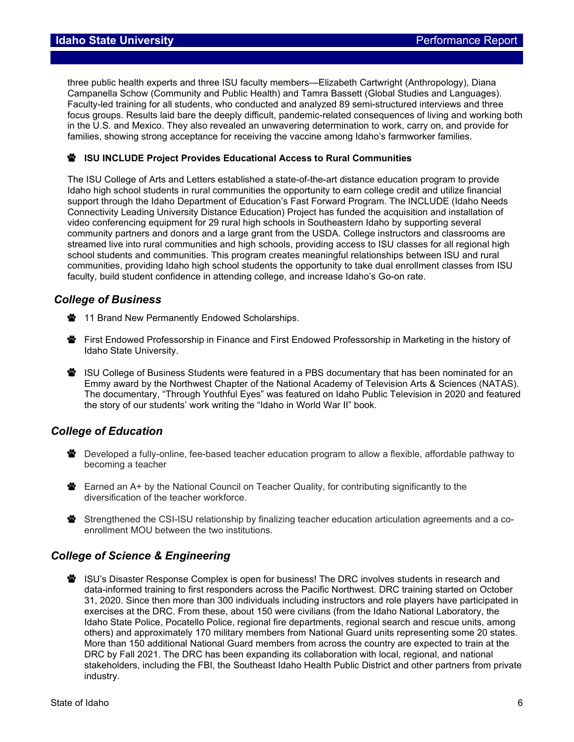three public health experts and three ISU faculty members—Elizabeth Cartwright (Anthropology), Diana Campanella Schow (Community and Public Health) and Tamra Bassett (Global Studies and Languages). Faculty-led training for all students, who conducted and analyzed 89 semi-structured interviews and three focus groups. Results laid bare the deeply difficult, pandemic-related consequences of living and working both in the U.S. and Mexico. They also revealed an unwavering determination to work, carry on, and provide for families, showing strong acceptance for receiving the vaccine among Idaho's farmworker families.

#### **ISU INCLUDE Project Provides Educational Access to Rural Communities**

The ISU College of Arts and Letters established a state-of-the-art distance education program to provide Idaho high school students in rural communities the opportunity to earn college credit and utilize financial support through the Idaho Department of Education's Fast Forward Program. The INCLUDE (Idaho Needs Connectivity Leading University Distance Education) Project has funded the acquisition and installation of video conferencing equipment for 29 rural high schools in Southeastern Idaho by supporting several community partners and donors and a large grant from the USDA. College instructors and classrooms are streamed live into rural communities and high schools, providing access to ISU classes for all regional high school students and communities. This program creates meaningful relationships between ISU and rural communities, providing Idaho high school students the opportunity to take dual enrollment classes from ISU faculty, build student confidence in attending college, and increase Idaho's Go-on rate.

## *College of Business*

- **W** 11 Brand New Permanently Endowed Scholarships.
- First Endowed Professorship in Finance and First Endowed Professorship in Marketing in the history of Idaho State University.
- **※** ISU College of Business Students were featured in a PBS documentary that has been nominated for an Emmy award by the Northwest Chapter of the National Academy of Television Arts & Sciences (NATAS). The documentary, "Through Youthful Eyes" was featured on Idaho Public Television in 2020 and featured the story of our students' work writing the "Idaho in World War II" book.

## *College of Education*

- Developed a fully-online, fee-based teacher education program to allow a flexible, affordable pathway to becoming a teacher
- Earned an A+ by the National Council on Teacher Quality, for contributing significantly to the diversification of the teacher workforce.
- **※** Strengthened the CSI-ISU relationship by finalizing teacher education articulation agreements and a coenrollment MOU between the two institutions.

## *College of Science & Engineering*

**学** ISU's Disaster Response Complex is open for business! The DRC involves students in research and data-informed training to first responders across the Pacific Northwest. DRC training started on October 31, 2020. Since then more than 300 individuals including instructors and role players have participated in exercises at the DRC. From these, about 150 were civilians (from the Idaho National Laboratory, the Idaho State Police, Pocatello Police, regional fire departments, regional search and rescue units, among others) and approximately 170 military members from National Guard units representing some 20 states. More than 150 additional National Guard members from across the country are expected to train at the DRC by Fall 2021. The DRC has been expanding its collaboration with local, regional, and national stakeholders, including the FBI, the Southeast Idaho Health Public District and other partners from private industry.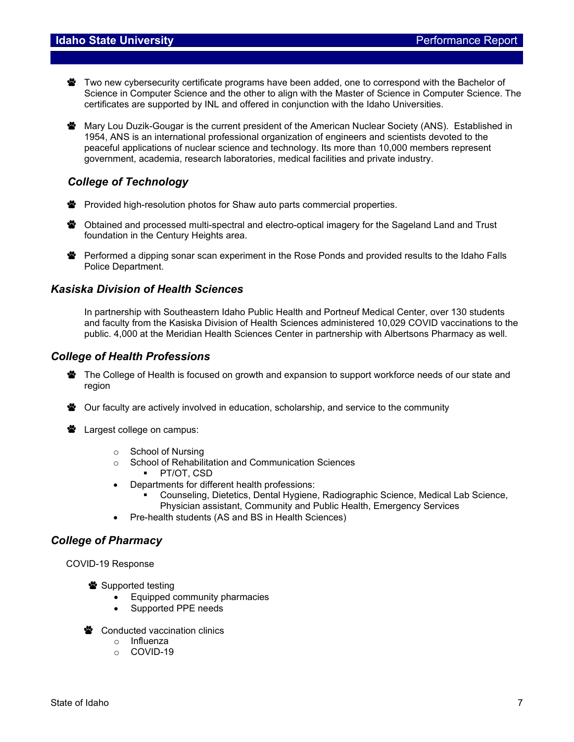- **警** Two new cybersecurity certificate programs have been added, one to correspond with the Bachelor of Science in Computer Science and the other to align with the Master of Science in Computer Science. The certificates are supported by INL and offered in conjunction with the Idaho Universities.
- **※** Mary Lou Duzik-Gougar is the current president of the American Nuclear Society (ANS). Established in 1954, ANS is an international professional organization of engineers and scientists devoted to the peaceful applications of nuclear science and technology. Its more than 10,000 members represent government, academia, research laboratories, medical facilities and private industry.

# *College of Technology*

- Provided high-resolution photos for Shaw auto parts commercial properties.
- **S** Obtained and processed multi-spectral and electro-optical imagery for the Sageland Land and Trust foundation in the Century Heights area.
- **学** Performed a dipping sonar scan experiment in the Rose Ponds and provided results to the Idaho Falls Police Department.

## *Kasiska Division of Health Sciences*

In partnership with Southeastern Idaho Public Health and Portneuf Medical Center, over 130 students and faculty from the Kasiska Division of Health Sciences administered 10,029 COVID vaccinations to the public. 4,000 at the Meridian Health Sciences Center in partnership with Albertsons Pharmacy as well.

## *College of Health Professions*

- The College of Health is focused on growth and expansion to support workforce needs of our state and region
- **※** Our faculty are actively involved in education, scholarship, and service to the community
- **S** Largest college on campus:
	- o School of Nursing
	- o School of Rehabilitation and Communication Sciences
		- **PT/OT, CSD**
	- Departments for different health professions:
		- Counseling, Dietetics, Dental Hygiene, Radiographic Science, Medical Lab Science, Physician assistant, Community and Public Health, Emergency Services
	- Pre-health students (AS and BS in Health Sciences)

## *College of Pharmacy*

COVID-19 Response

Supported testing

- Equipped community pharmacies
- Supported PPE needs
- **<sup>₩</sup>** Conducted vaccination clinics
	- o Influenza
	- o COVID-19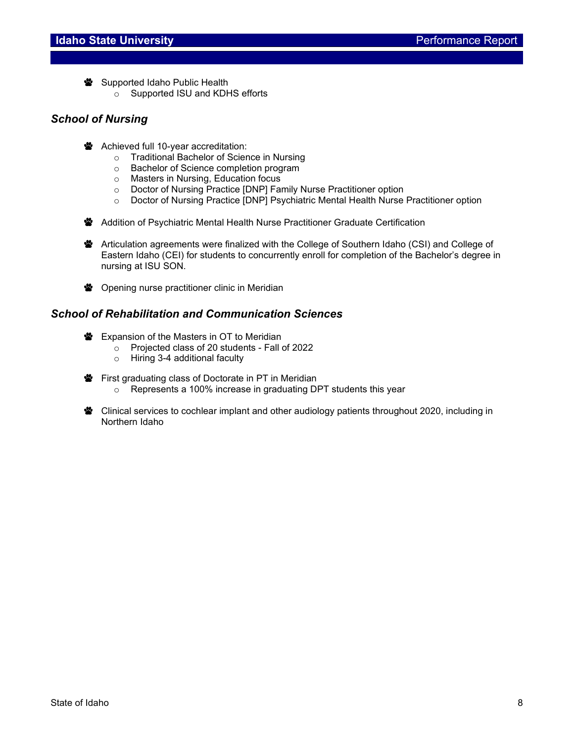Supported Idaho Public Health

o Supported ISU and KDHS efforts

# *School of Nursing*

- **W** Achieved full 10-year accreditation:
	- o Traditional Bachelor of Science in Nursing
	- o Bachelor of Science completion program
	- o Masters in Nursing, Education focus
	- o Doctor of Nursing Practice [DNP] Family Nurse Practitioner option
	- o Doctor of Nursing Practice [DNP] Psychiatric Mental Health Nurse Practitioner option
- **W** Addition of Psychiatric Mental Health Nurse Practitioner Graduate Certification

Articulation agreements were finalized with the College of Southern Idaho (CSI) and College of Eastern Idaho (CEI) for students to concurrently enroll for completion of the Bachelor's degree in nursing at ISU SON.

**S** Opening nurse practitioner clinic in Meridian

## *School of Rehabilitation and Communication Sciences*

- **Expansion of the Masters in OT to Meridian** 
	- $\circ$  Projected class of 20 students Fall of 2022
	- o Hiring 3-4 additional faculty
- **W** First graduating class of Doctorate in PT in Meridian
	- o Represents a 100% increase in graduating DPT students this year
- **※** Clinical services to cochlear implant and other audiology patients throughout 2020, including in Northern Idaho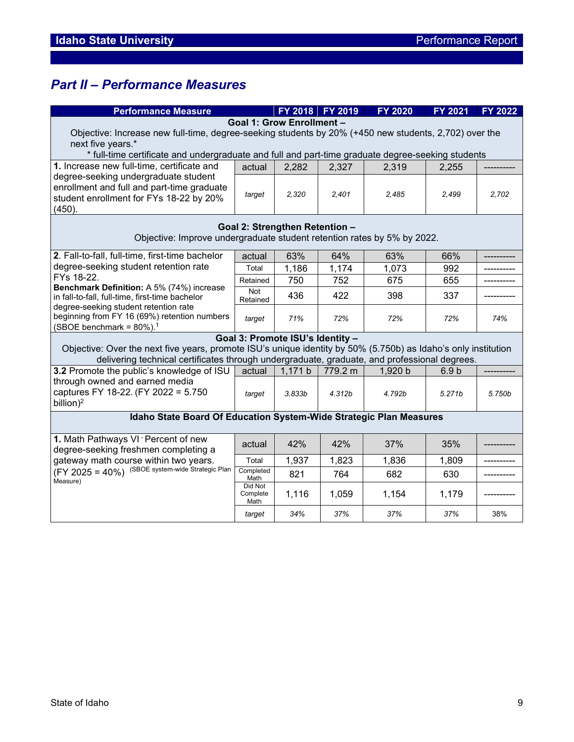# *Part II – Performance Measures*

| <b>Performance Measure</b>                                                                                     |                   |                                  | FY 2018 FY 2019 | FY 2020 | FY 2021          | FY 2022 |  |
|----------------------------------------------------------------------------------------------------------------|-------------------|----------------------------------|-----------------|---------|------------------|---------|--|
|                                                                                                                |                   | Goal 1: Grow Enrollment -        |                 |         |                  |         |  |
| Objective: Increase new full-time, degree-seeking students by 20% (+450 new students, 2,702) over the          |                   |                                  |                 |         |                  |         |  |
| next five years.*                                                                                              |                   |                                  |                 |         |                  |         |  |
| * full-time certificate and undergraduate and full and part-time graduate degree-seeking students              |                   |                                  |                 |         |                  |         |  |
| 1. Increase new full-time, certificate and                                                                     | actual            | 2,282                            | 2,327           | 2,319   | 2,255            |         |  |
| degree-seeking undergraduate student                                                                           |                   |                                  |                 |         |                  |         |  |
| enrollment and full and part-time graduate                                                                     | target            | 2,320                            | 2.401           | 2,485   | 2,499            | 2,702   |  |
| student enrollment for FYs 18-22 by 20%                                                                        |                   |                                  |                 |         |                  |         |  |
| (450).                                                                                                         |                   |                                  |                 |         |                  |         |  |
|                                                                                                                |                   | Goal 2: Strengthen Retention -   |                 |         |                  |         |  |
| Objective: Improve undergraduate student retention rates by 5% by 2022.                                        |                   |                                  |                 |         |                  |         |  |
| 2. Fall-to-fall, full-time, first-time bachelor                                                                | actual            | 63%                              | 64%             | 63%     | 66%              |         |  |
| degree-seeking student retention rate                                                                          | Total             | 1,186                            | 1,174           | 1,073   | 992              |         |  |
| FYs 18-22.                                                                                                     | Retained          | 750                              | 752             | 675     | 655              |         |  |
| Benchmark Definition: A 5% (74%) increase                                                                      | Not               | 436                              | 422             | 398     | 337              |         |  |
| in fall-to-fall, full-time, first-time bachelor<br>degree-seeking student retention rate                       | Retained          |                                  |                 |         |                  |         |  |
| beginning from FY 16 (69%) retention numbers                                                                   |                   | 71%                              | 72%             | 72%     | 72%              | 74%     |  |
| (SBOE benchmark = $80\%$ ). <sup>1</sup>                                                                       | target            |                                  |                 |         |                  |         |  |
|                                                                                                                |                   | Goal 3: Promote ISU's Identity - |                 |         |                  |         |  |
| Objective: Over the next five years, promote ISU's unique identity by 50% (5.750b) as Idaho's only institution |                   |                                  |                 |         |                  |         |  |
| delivering technical certificates through undergraduate, graduate, and professional degrees.                   |                   |                                  |                 |         |                  |         |  |
| 3.2 Promote the public's knowledge of ISU                                                                      | actual            | 1,171 b                          | 779.2 m         | 1,920 b | 6.9 <sub>b</sub> |         |  |
| through owned and earned media                                                                                 |                   |                                  |                 |         |                  |         |  |
| captures FY 18-22. (FY 2022 = 5.750                                                                            | target            | 3.833 <sub>b</sub>               | 4.312b          | 4.792b  | 5.271b           | 5.750b  |  |
| billion) <sup>2</sup>                                                                                          |                   |                                  |                 |         |                  |         |  |
| Idaho State Board Of Education System-Wide Strategic Plan Measures                                             |                   |                                  |                 |         |                  |         |  |
|                                                                                                                |                   |                                  |                 |         |                  |         |  |
| 1. Math Pathways VI - Percent of new                                                                           | actual            | 42%                              | 42%             | 37%     | 35%              |         |  |
| degree-seeking freshmen completing a                                                                           |                   |                                  |                 |         |                  |         |  |
| gateway math course within two years.                                                                          | Total             | 1,937                            | 1,823           | 1,836   | 1,809            |         |  |
| (FY 2025 = 40%) (SBOE system-wide Strategic Plan<br>Measure)                                                   | Completed<br>Math | 821                              | 764             | 682     | 630              |         |  |
|                                                                                                                | Did Not           |                                  |                 |         |                  |         |  |
|                                                                                                                | Complete<br>Math  | 1,116                            | 1,059           | 1,154   | 1,179            |         |  |
|                                                                                                                | target            | 34%                              | 37%             | 37%     | 37%              | 38%     |  |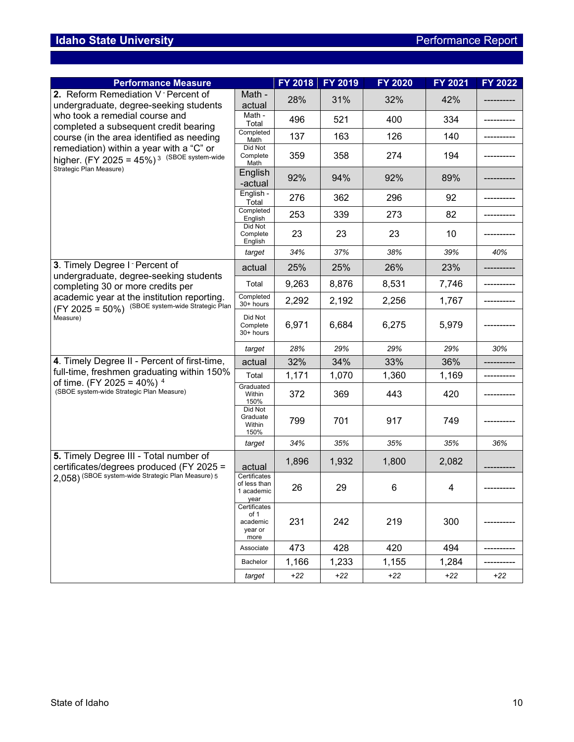| <b>Performance Measure</b>                                                                                                                              |                                                     | FY 2018 | FY 2019 | <b>FY 2020</b> | <b>FY 2021</b> | FY 2022 |
|---------------------------------------------------------------------------------------------------------------------------------------------------------|-----------------------------------------------------|---------|---------|----------------|----------------|---------|
| 2. Reform Remediation V Percent of<br>undergraduate, degree-seeking students<br>who took a remedial course and<br>completed a subsequent credit bearing | Math -<br>actual                                    | 28%     | 31%     | 32%            | 42%            |         |
|                                                                                                                                                         | Math -<br>Total                                     | 496     | 521     | 400            | 334            |         |
| course (in the area identified as needing                                                                                                               | Completed<br>Math                                   | 137     | 163     | 126            | 140            |         |
| remediation) within a year with a "C" or<br>higher. $(FY 2025 = 45%)$ <sup>3 (SBOE system-wide</sup>                                                    | Did Not<br>Complete<br>Math                         | 359     | 358     | 274            | 194            |         |
| Strategic Plan Measure)                                                                                                                                 | English<br>-actual                                  | 92%     | 94%     | 92%            | 89%            |         |
|                                                                                                                                                         | English -<br>Total                                  | 276     | 362     | 296            | 92             |         |
|                                                                                                                                                         | Completed<br>English                                | 253     | 339     | 273            | 82             |         |
|                                                                                                                                                         | Did Not<br>Complete<br>English                      | 23      | 23      | 23             | 10             |         |
|                                                                                                                                                         | target                                              | 34%     | 37%     | 38%            | 39%            | 40%     |
| 3. Timely Degree I - Percent of<br>undergraduate, degree-seeking students                                                                               | actual                                              | 25%     | 25%     | 26%            | 23%            |         |
| completing 30 or more credits per                                                                                                                       | Total                                               | 9,263   | 8,876   | 8,531          | 7,746          |         |
| academic year at the institution reporting.<br>(FY 2025 = 50%) (SBOE system-wide Strategic Plan                                                         | Completed<br>30+ hours                              | 2,292   | 2,192   | 2,256          | 1,767          |         |
| Measure)                                                                                                                                                | Did Not<br>Complete<br>30+ hours                    | 6,971   | 6,684   | 6,275          | 5,979          |         |
|                                                                                                                                                         | target                                              | 28%     | 29%     | 29%            | 29%            | 30%     |
| 4. Timely Degree II - Percent of first-time,                                                                                                            | actual                                              | 32%     | 34%     | 33%            | 36%            |         |
| full-time, freshmen graduating within 150%                                                                                                              | Total                                               | 1,171   | 1,070   | 1,360          | 1,169          |         |
| of time. (FY 2025 = 40%) $4$<br>(SBOE system-wide Strategic Plan Measure)                                                                               | Graduated<br>Within<br>150%                         | 372     | 369     | 443            | 420            |         |
|                                                                                                                                                         | Did Not<br>Graduate<br>Within<br>150%               | 799     | 701     | 917            | 749            |         |
|                                                                                                                                                         | target                                              | 34%     | 35%     | 35%            | 35%            | 36%     |
| 5. Timely Degree III - Total number of<br>certificates/degrees produced (FY 2025 =<br>2,058) (SBOE system-wide Strategic Plan Measure) 5                | actual                                              | 1,896   | 1,932   | 1,800          | 2,082          |         |
|                                                                                                                                                         | Certificates<br>of less than<br>1 academic<br>year  | 26      | 29      | 6              | 4              |         |
|                                                                                                                                                         | Certificates<br>of 1<br>academic<br>year or<br>more | 231     | 242     | 219            | 300            |         |
|                                                                                                                                                         | Associate                                           | 473     | 428     | 420            | 494            |         |
|                                                                                                                                                         | Bachelor                                            | 1,166   | 1,233   | 1,155          | 1,284          |         |
|                                                                                                                                                         | target                                              | $+22$   | $+22$   | $+22$          | $+22$          | $+22$   |